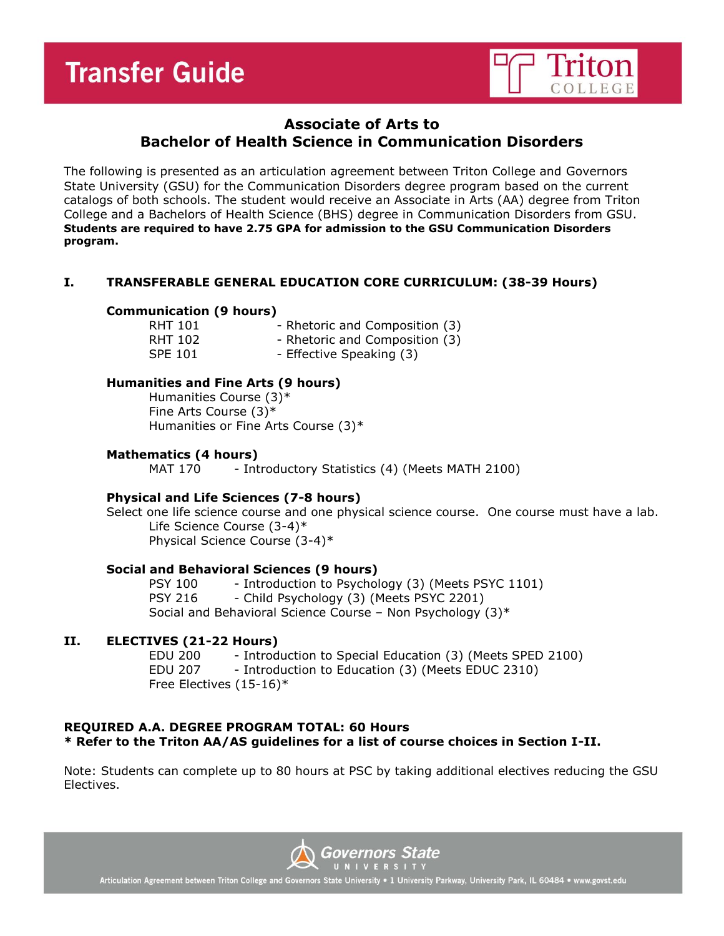

## **Associate of Arts to Bachelor of Health Science in Communication Disorders**

The following is presented as an articulation agreement between Triton College and Governors State University (GSU) for the Communication Disorders degree program based on the current catalogs of both schools. The student would receive an Associate in Arts (AA) degree from Triton College and a Bachelors of Health Science (BHS) degree in Communication Disorders from GSU. **Students are required to have 2.75 GPA for admission to the GSU Communication Disorders program.**

## **I. TRANSFERABLE GENERAL EDUCATION CORE CURRICULUM: (38-39 Hours)**

## **Communication (9 hours)**

RHT 101 - Rhetoric and Composition (3) RHT 102 - Rhetoric and Composition (3) SPE 101 - Effective Speaking (3)

## **Humanities and Fine Arts (9 hours)**

Humanities Course (3)\* Fine Arts Course (3)\* Humanities or Fine Arts Course (3)\*

## **Mathematics (4 hours)**

MAT 170 - Introductory Statistics (4) (Meets MATH 2100)

## **Physical and Life Sciences (7-8 hours)**

Select one life science course and one physical science course. One course must have a lab. Life Science Course (3-4)\* Physical Science Course (3-4)\*

## **Social and Behavioral Sciences (9 hours)**

PSY 100 - Introduction to Psychology (3) (Meets PSYC 1101) PSY 216 - Child Psychology (3) (Meets PSYC 2201) Social and Behavioral Science Course – Non Psychology (3)\*

## **II. ELECTIVES (21-22 Hours)**

EDU 200 - Introduction to Special Education (3) (Meets SPED 2100) EDU 207 - Introduction to Education (3) (Meets EDUC 2310) Free Electives (15-16)\*

## **REQUIRED A.A. DEGREE PROGRAM TOTAL: 60 Hours \* Refer to the Triton AA/AS guidelines for a list of course choices in Section I-II.**

Note: Students can complete up to 80 hours at PSC by taking additional electives reducing the GSU Electives.



Articulation Agreement between Triton College and Governors State University . 1 University Parkway, University Park, IL 60484 . www.govst.edu